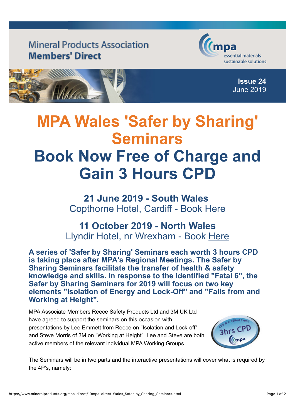## **Mineral Products Association Members' Direct**





## **MPA Wales 'Safer by Sharing' Seminars Book Now Free of Charge and Gain 3 Hours CPD**

**21 June 2019 - South Wales** Copthorne Hotel, Cardiff - Book [Here](mailto:dh@hardingpr.co.uk?subject=South%20Wales%20Safer%20by%20Sharing%20Seminar,%2021%20June%202019,%20Cardiff)

## **11 October 2019 - North Wales** Llyndir Hotel, nr Wrexham - Book [Here](mailto:dh@hardingpr.co.uk?subject=North%20Wales%20Safer%20by%20Sharing%20Seminar,%2011%20October%202019,%20nr%20Wrexham)

**A series of 'Safer by Sharing' Seminars each worth 3 hours CPD is taking place after MPA's Regional Meetings. The Safer by Sharing Seminars facilitate the transfer of health & safety knowledge and skills. In response to the identified "Fatal 6", the Safer by Sharing Seminars for 2019 will focus on two key elements "Isolation of Energy and Lock-Off" and "Falls from and Working at Height".**

MPA Associate Members Reece Safety Products Ltd and 3M UK Ltd have agreed to support the seminars on this occasion with presentations by Lee Emmett from Reece on "Isolation and Lock-off" and Steve Morris of 3M on "Working at Height". Lee and Steve are both active members of the relevant individual MPA Working Groups.



The Seminars will be in two parts and the interactive presentations will cover what is required by the 4P's, namely: